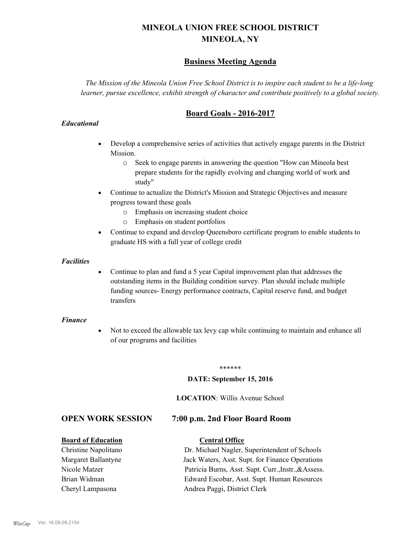# **MINEOLA UNION FREE SCHOOL DISTRICT MINEOLA, NY**

# **Business Meeting Agenda**

*The Mission of the Mineola Union Free School District is to inspire each student to be a life-long learner, pursue excellence, exhibit strength of character and contribute positively to a global society.*

# **Board Goals - 2016-2017**

## *Educational*

- · Develop a comprehensive series of activities that actively engage parents in the District Mission.
	- o Seek to engage parents in answering the question "How can Mineola best prepare students for the rapidly evolving and changing world of work and study"
- · Continue to actualize the District's Mission and Strategic Objectives and measure progress toward these goals
	- o Emphasis on increasing student choice
	- o Emphasis on student portfolios
- · Continue to expand and develop Queensboro certificate program to enable students to graduate HS with a full year of college credit

#### *Facilities*

· Continue to plan and fund a 5 year Capital improvement plan that addresses the outstanding items in the Building condition survey. Plan should include multiple funding sources- Energy performance contracts, Capital reserve fund, and budget transfers

## *Finance*

• Not to exceed the allowable tax levy cap while continuing to maintain and enhance all of our programs and facilities

#### \*\*\*\*\*\*

#### **DATE: September 15, 2016**

#### **LOCATION**: Willis Avenue School

## **OPEN WORK SESSION 7:00 p.m. 2nd Floor Board Room**

#### **Board of Education Central Office**

# Christine Napolitano Dr. Michael Nagler, Superintendent of Schools Margaret Ballantyne Jack Waters, Asst. Supt. for Finance Operations

Nicole Matzer Patricia Burns, Asst. Supt. Curr.,Instr.,&Assess. Brian Widman Edward Escobar, Asst. Supt. Human Resources Cheryl Lampasona Andrea Paggi, District Clerk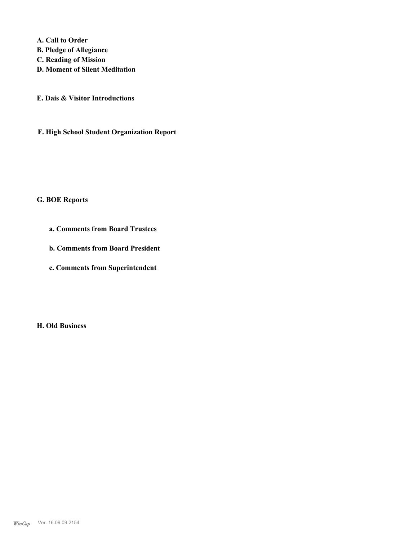**A. Call to Order** 

- **B. Pledge of Allegiance**
- **C. Reading of Mission**
- **D. Moment of Silent Meditation**
- **E. Dais & Visitor Introductions**
- **F. High School Student Organization Report**

# **G. BOE Reports**

- **a. Comments from Board Trustees**
- **b. Comments from Board President**
- **c. Comments from Superintendent**

**H. Old Business**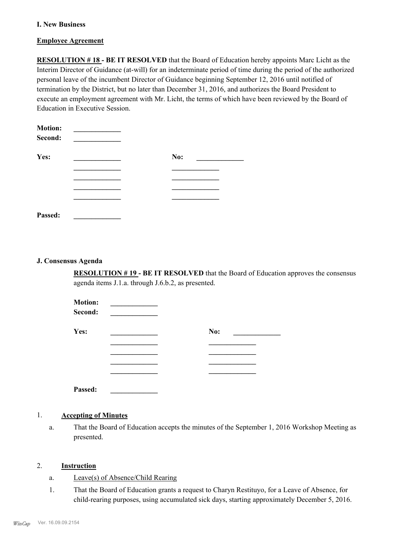### **I. New Business**

#### **Employee Agreement**

**RESOLUTION # 18 - BE IT RESOLVED** that the Board of Education hereby appoints Marc Licht as the Interim Director of Guidance (at-will) for an indeterminate period of time during the period of the authorized personal leave of the incumbent Director of Guidance beginning September 12, 2016 until notified of termination by the District, but no later than December 31, 2016, and authorizes the Board President to execute an employment agreement with Mr. Licht, the terms of which have been reviewed by the Board of Education in Executive Session.

| <b>Motion:</b><br>Second: |     |  |
|---------------------------|-----|--|
| Yes:                      | No: |  |
|                           |     |  |
|                           |     |  |
|                           |     |  |
|                           |     |  |
| Passed:                   |     |  |

#### **J. Consensus Agenda**

**RESOLUTION # 19 - BE IT RESOLVED** that the Board of Education approves the consensus agenda items J.1.a. through J.6.b.2, as presented.

| <b>Motion:</b><br>Second: |     |
|---------------------------|-----|
| Yes:                      | No: |
|                           |     |
|                           |     |
|                           |     |
|                           |     |
| Passed:                   |     |

#### 1. **Accepting of Minutes**

That the Board of Education accepts the minutes of the September 1, 2016 Workshop Meeting as presented. a.

#### 2. **Instruction**

- a. Leave(s) of Absence/Child Rearing
- That the Board of Education grants a request to Charyn Restituyo, for a Leave of Absence, for child-rearing purposes, using accumulated sick days, starting approximately December 5, 2016. 1.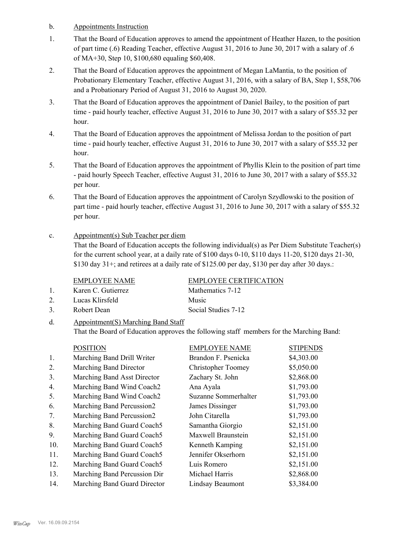- b. Appointments Instruction
- That the Board of Education approves to amend the appointment of Heather Hazen, to the position of part time (.6) Reading Teacher, effective August 31, 2016 to June 30, 2017 with a salary of .6 of MA+30, Step 10, \$100,680 equaling \$60,408. 1.
- That the Board of Education approves the appointment of Megan LaMantia, to the position of Probationary Elementary Teacher, effective August 31, 2016, with a salary of BA, Step 1, \$58,706 and a Probationary Period of August 31, 2016 to August 30, 2020. 2.
- That the Board of Education approves the appointment of Daniel Bailey, to the position of part time - paid hourly teacher, effective August 31, 2016 to June 30, 2017 with a salary of \$55.32 per hour. 3.
- That the Board of Education approves the appointment of Melissa Jordan to the position of part time - paid hourly teacher, effective August 31, 2016 to June 30, 2017 with a salary of \$55.32 per hour. 4.
- That the Board of Education approves the appointment of Phyllis Klein to the position of part time - paid hourly Speech Teacher, effective August 31, 2016 to June 30, 2017 with a salary of \$55.32 per hour. 5.
- That the Board of Education approves the appointment of Carolyn Szydlowski to the position of part time - paid hourly teacher, effective August 31, 2016 to June 30, 2017 with a salary of \$55.32 per hour. 6.
- Appointment(s) Sub Teacher per diem c.

That the Board of Education accepts the following individual(s) as Per Diem Substitute Teacher(s) for the current school year, at a daily rate of \$100 days 0-10, \$110 days 11-20, \$120 days 21-30, \$130 day 31+; and retirees at a daily rate of \$125.00 per day, \$130 per day after 30 days.:

EMPLOYEE NAME EMPLOYEE CERTIFICATION

- 1. Karen C. Gutierrez Mathematics 7-12 2. Lucas Klirsfeld Music 3. Robert Dean Social Studies 7-12
- Appointment(S) Marching Band Staff That the Board of Education approves the following staff members for the Marching Band: d.

## POSITION EMPLOYEE NAME STIPENDS

| 1.  | Marching Band Drill Writer   | Brandon F. Psenicka       | \$4,303.00 |
|-----|------------------------------|---------------------------|------------|
| 2.  | Marching Band Director       | <b>Christopher Toomey</b> | \$5,050.00 |
| 3.  | Marching Band Asst Director  | Zachary St. John          | \$2,868.00 |
| 4.  | Marching Band Wind Coach2    | Ana Ayala                 | \$1,793.00 |
| 5.  | Marching Band Wind Coach2    | Suzanne Sommerhalter      | \$1,793.00 |
| 6.  | Marching Band Percussion2    | James Dissinger           | \$1,793.00 |
| 7.  | Marching Band Percussion2    | John Citarella            | \$1,793.00 |
| 8.  | Marching Band Guard Coach5   | Samantha Giorgio          | \$2,151.00 |
| 9.  | Marching Band Guard Coach5   | Maxwell Braunstein        | \$2,151.00 |
| 10. | Marching Band Guard Coach5   | Kenneth Kamping           | \$2,151.00 |
| 11. | Marching Band Guard Coach5   | Jennifer Okserhorn        | \$2,151.00 |
| 12. | Marching Band Guard Coach5   | Luis Romero               | \$2,151.00 |
| 13. | Marching Band Percussion Dir | Michael Harris            | \$2,868.00 |
| 14. | Marching Band Guard Director | Lindsay Beaumont          | \$3,384.00 |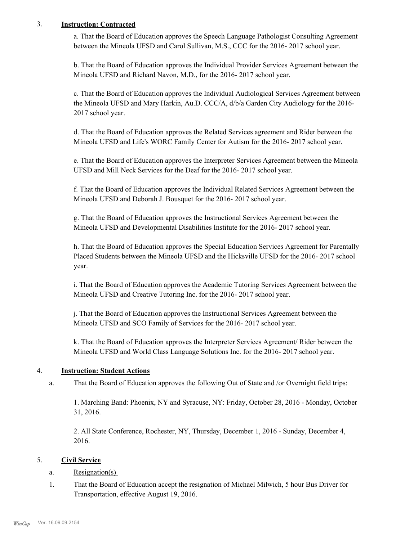## 3. **Instruction: Contracted**

a. That the Board of Education approves the Speech Language Pathologist Consulting Agreement between the Mineola UFSD and Carol Sullivan, M.S., CCC for the 2016- 2017 school year.

b. That the Board of Education approves the Individual Provider Services Agreement between the Mineola UFSD and Richard Navon, M.D., for the 2016- 2017 school year.

c. That the Board of Education approves the Individual Audiological Services Agreement between the Mineola UFSD and Mary Harkin, Au.D. CCC/A, d/b/a Garden City Audiology for the 2016- 2017 school year.

d. That the Board of Education approves the Related Services agreement and Rider between the Mineola UFSD and Life's WORC Family Center for Autism for the 2016- 2017 school year.

e. That the Board of Education approves the Interpreter Services Agreement between the Mineola UFSD and Mill Neck Services for the Deaf for the 2016- 2017 school year.

f. That the Board of Education approves the Individual Related Services Agreement between the Mineola UFSD and Deborah J. Bousquet for the 2016- 2017 school year.

g. That the Board of Education approves the Instructional Services Agreement between the Mineola UFSD and Developmental Disabilities Institute for the 2016- 2017 school year.

h. That the Board of Education approves the Special Education Services Agreement for Parentally Placed Students between the Mineola UFSD and the Hicksville UFSD for the 2016- 2017 school year.

i. That the Board of Education approves the Academic Tutoring Services Agreement between the Mineola UFSD and Creative Tutoring Inc. for the 2016- 2017 school year.

j. That the Board of Education approves the Instructional Services Agreement between the Mineola UFSD and SCO Family of Services for the 2016- 2017 school year.

k. That the Board of Education approves the Interpreter Services Agreement/ Rider between the Mineola UFSD and World Class Language Solutions Inc. for the 2016- 2017 school year.

## 4. **Instruction: Student Actions**

That the Board of Education approves the following Out of State and /or Overnight field trips: a.

1. Marching Band: Phoenix, NY and Syracuse, NY: Friday, October 28, 2016 - Monday, October 31, 2016.

2. All State Conference, Rochester, NY, Thursday, December 1, 2016 - Sunday, December 4, 2016.

## 5. **Civil Service**

## a. Resignation(s)

That the Board of Education accept the resignation of Michael Milwich, 5 hour Bus Driver for Transportation, effective August 19, 2016. 1.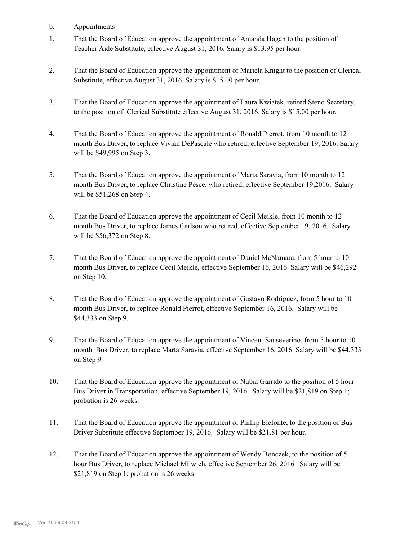- b. Appointments
- That the Board of Education approve the appointment of Amanda Hagan to the position of Teacher Aide Substitute, effective August 31, 2016. Salary is \$13.95 per hour. 1.
- That the Board of Education approve the appointment of Mariela Knight to the position of Clerical Substitute, effective August 31, 2016. Salary is \$15.00 per hour. 2.
- That the Board of Education approve the appointment of Laura Kwiatek, retired Steno Secretary, to the position of Clerical Substitute effective August 31, 2016. Salary is \$15.00 per hour. 3.
- That the Board of Education approve the appointment of Ronald Pierrot, from 10 month to 12 month Bus Driver, to replace Vivian DePascale who retired, effective September 19, 2016. Salary will be \$49,995 on Step 3. 4.
- That the Board of Education approve the appointment of Marta Saravia, from 10 month to 12 month Bus Driver, to replace Christine Pesce, who retired, effective September 19,2016. Salary will be \$51,268 on Step 4. 5.
- That the Board of Education approve the appointment of Cecil Meikle, from 10 month to 12 month Bus Driver, to replace James Carlson who retired, effective September 19, 2016. Salary will be \$56,372 on Step 8. 6.
- That the Board of Education approve the appointment of Daniel McNamara, from 5 hour to 10 month Bus Driver, to replace Cecil Meikle, effective September 16, 2016. Salary will be \$46,292 on Step 10. 7.
- That the Board of Education approve the appointment of Gustavo Rodriguez, from 5 hour to 10 month Bus Driver, to replace Ronald Pierrot, effective September 16, 2016. Salary will be \$44,333 on Step 9. 8.
- That the Board of Education approve the appointment of Vincent Sanseverino, from 5 hour to 10 month Bus Driver, to replace Marta Saravia, effective September 16, 2016. Salary will be \$44,333 on Step 9. 9.
- That the Board of Education approve the appointment of Nubia Garrido to the position of 5 hour Bus Driver in Transportation, effective September 19, 2016. Salary will be \$21,819 on Step 1; probation is 26 weeks. 10.
- That the Board of Education approve the appointment of Phillip Elefonte, to the position of Bus Driver Substitute effective September 19, 2016. Salary will be \$21.81 per hour. 11.
- That the Board of Education approve the appointment of Wendy Bonczek, to the position of 5 hour Bus Driver, to replace Michael Milwich, effective September 26, 2016. Salary will be \$21,819 on Step 1; probation is 26 weeks. 12.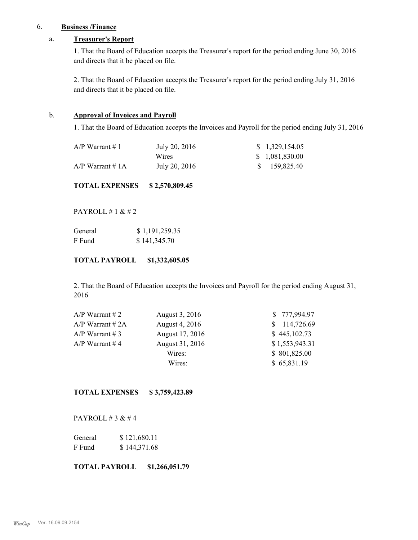## 6. **Business /Finance**

## a. **Treasurer's Report**

1. That the Board of Education accepts the Treasurer's report for the period ending June 30, 2016 and directs that it be placed on file.

2. That the Board of Education accepts the Treasurer's report for the period ending July 31, 2016 and directs that it be placed on file.

## b. **Approval of Invoices and Payroll**

1. That the Board of Education accepts the Invoices and Payroll for the period ending July 31, 2016

| A/P Warrant $\#$ 1 | July 20, 2016 | \$1,329,154.05  |
|--------------------|---------------|-----------------|
|                    | Wires         | \$ 1,081,830.00 |
| $A/P$ Warrant # 1A | July 20, 2016 | \$159,825.40    |

**TOTAL EXPENSES \$ 2,570,809.45**

PAYROLL # 1 & # 2

| General | \$1,191,259.35 |
|---------|----------------|
| F Fund  | \$141,345.70   |

## **TOTAL PAYROLL \$1,332,605.05**

2. That the Board of Education accepts the Invoices and Payroll for the period ending August 31, 2016

| $A/P$ Warrant # 2 | August 3, 2016  | \$777,994.97   |
|-------------------|-----------------|----------------|
| $A/P$ Warrant #2A | August 4, 2016  | \$114,726.69   |
| $A/P$ Warrant # 3 | August 17, 2016 | \$445,102.73   |
| $A/P$ Warrant #4  | August 31, 2016 | \$1,553,943.31 |
|                   | Wires:          | \$801,825.00   |
|                   | Wires:          | \$65,831.19    |
|                   |                 |                |

**TOTAL EXPENSES \$ 3,759,423.89**

PAYROLL # 3 & # 4

| General | \$121,680.11 |
|---------|--------------|
| F Fund  | \$144,371.68 |

**TOTAL PAYROLL \$1,266,051.79**